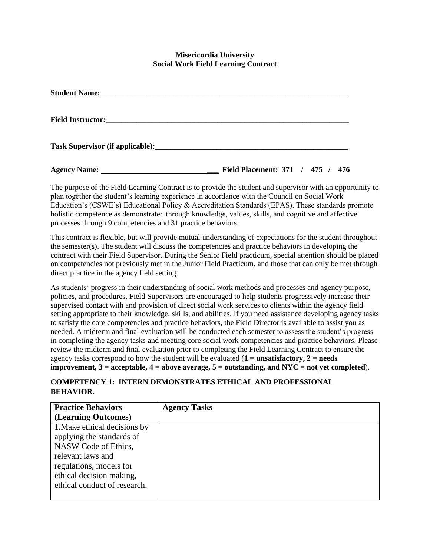#### **Misericordia University Social Work Field Learning Contract**

| <b>Agency Name:</b> | 476<br><b>Field Placement: 371 / 475 /</b> |
|---------------------|--------------------------------------------|

The purpose of the Field Learning Contract is to provide the student and supervisor with an opportunity to plan together the student's learning experience in accordance with the Council on Social Work Education's (CSWE's) Educational Policy & Accreditation Standards (EPAS). These standards promote holistic competence as demonstrated through knowledge, values, skills, and cognitive and affective processes through 9 competencies and 31 practice behaviors.

This contract is flexible, but will provide mutual understanding of expectations for the student throughout the semester(s). The student will discuss the competencies and practice behaviors in developing the contract with their Field Supervisor. During the Senior Field practicum, special attention should be placed on competencies not previously met in the Junior Field Practicum, and those that can only be met through direct practice in the agency field setting.

As students' progress in their understanding of social work methods and processes and agency purpose, policies, and procedures, Field Supervisors are encouraged to help students progressively increase their supervised contact with and provision of direct social work services to clients within the agency field setting appropriate to their knowledge, skills, and abilities. If you need assistance developing agency tasks to satisfy the core competencies and practice behaviors, the Field Director is available to assist you as needed. A midterm and final evaluation will be conducted each semester to assess the student's progress in completing the agency tasks and meeting core social work competencies and practice behaviors. Please review the midterm and final evaluation prior to completing the Field Learning Contract to ensure the agency tasks correspond to how the student will be evaluated  $(1 = \text{unsatisfactory}, 2 = \text{needs})$ **improvement, 3 = acceptable, 4 = above average, 5 = outstanding, and NYC = not yet completed**).

#### **COMPETENCY 1: INTERN DEMONSTRATES ETHICAL AND PROFESSIONAL BEHAVIOR.**

| <b>Practice Behaviors</b>    | <b>Agency Tasks</b> |
|------------------------------|---------------------|
| (Learning Outcomes)          |                     |
| 1. Make ethical decisions by |                     |
| applying the standards of    |                     |
| NASW Code of Ethics,         |                     |
| relevant laws and            |                     |
| regulations, models for      |                     |
| ethical decision making,     |                     |
| ethical conduct of research, |                     |
|                              |                     |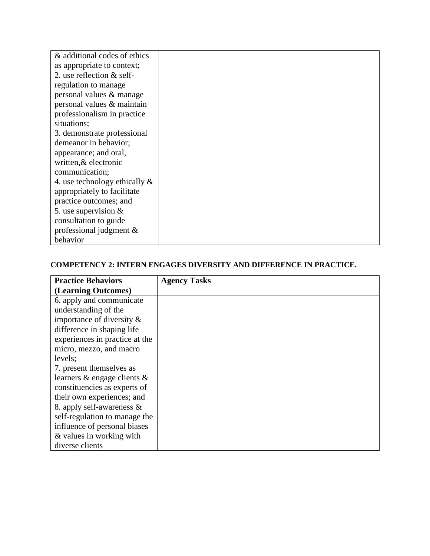| & additional codes of ethics     |  |
|----------------------------------|--|
| as appropriate to context;       |  |
| 2. use reflection $&$ self-      |  |
| regulation to manage             |  |
| personal values & manage         |  |
| personal values & maintain       |  |
| professionalism in practice      |  |
| situations;                      |  |
| 3. demonstrate professional      |  |
| demeanor in behavior;            |  |
| appearance; and oral,            |  |
| written, & electronic            |  |
| communication;                   |  |
| 4. use technology ethically $\&$ |  |
| appropriately to facilitate      |  |
| practice outcomes; and           |  |
| 5. use supervision $\&$          |  |
| consultation to guide            |  |
| professional judgment $\&$       |  |
| behavior                         |  |

# **COMPETENCY 2: INTERN ENGAGES DIVERSITY AND DIFFERENCE IN PRACTICE.**

| <b>Practice Behaviors</b>         | <b>Agency Tasks</b> |
|-----------------------------------|---------------------|
| (Learning Outcomes)               |                     |
| 6. apply and communicate          |                     |
| understanding of the              |                     |
| importance of diversity $\&$      |                     |
| difference in shaping life        |                     |
| experiences in practice at the    |                     |
| micro, mezzo, and macro           |                     |
| levels;                           |                     |
| 7. present themselves as          |                     |
| learners $\&$ engage clients $\&$ |                     |
| constituencies as experts of      |                     |
| their own experiences; and        |                     |
| 8. apply self-awareness $\&$      |                     |
| self-regulation to manage the     |                     |
| influence of personal biases      |                     |
| & values in working with          |                     |
| diverse clients                   |                     |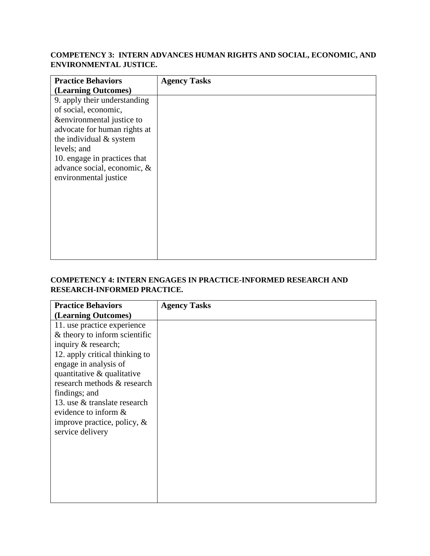## **COMPETENCY 3: INTERN ADVANCES HUMAN RIGHTS AND SOCIAL, ECONOMIC, AND ENVIRONMENTAL JUSTICE.**

| <b>Practice Behaviors</b>      | <b>Agency Tasks</b> |
|--------------------------------|---------------------|
| (Learning Outcomes)            |                     |
| 9. apply their understanding   |                     |
| of social, economic,           |                     |
| &environmental justice to      |                     |
| advocate for human rights at   |                     |
| the individual $&$ system      |                     |
| levels; and                    |                     |
| 10. engage in practices that   |                     |
| advance social, economic, $\&$ |                     |
| environmental justice          |                     |
|                                |                     |
|                                |                     |
|                                |                     |
|                                |                     |
|                                |                     |
|                                |                     |
|                                |                     |
|                                |                     |

### **COMPETENCY 4: INTERN ENGAGES IN PRACTICE-INFORMED RESEARCH AND RESEARCH-INFORMED PRACTICE.**

| <b>Practice Behaviors</b>                                                                                                                                                                                                                                                                                                                  | <b>Agency Tasks</b> |
|--------------------------------------------------------------------------------------------------------------------------------------------------------------------------------------------------------------------------------------------------------------------------------------------------------------------------------------------|---------------------|
| (Learning Outcomes)                                                                                                                                                                                                                                                                                                                        |                     |
| 11. use practice experience<br>& theory to inform scientific<br>inquiry & research;<br>12. apply critical thinking to<br>engage in analysis of<br>quantitative & qualitative<br>research methods & research<br>findings; and<br>13. use & translate research<br>evidence to inform &<br>improve practice, policy, $\&$<br>service delivery |                     |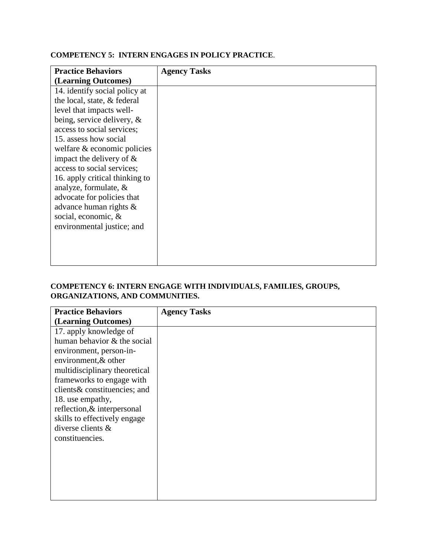# **Practice Behaviors (Learning Outcomes) Agency Tasks** 14. identify social policy at the local, state, & federal level that impacts wellbeing, service delivery, & access to social services; 15. assess how social welfare & economic policies impact the delivery of & access to social services; 16. apply critical thinking to analyze, formulate, & advocate for policies that advance human rights & social, economic, & environmental justice; and

#### **COMPETENCY 5: INTERN ENGAGES IN POLICY PRACTICE**.

#### **COMPETENCY 6: INTERN ENGAGE WITH INDIVIDUALS, FAMILIES, GROUPS, ORGANIZATIONS, AND COMMUNITIES.**

| <b>Practice Behaviors</b>     | <b>Agency Tasks</b> |
|-------------------------------|---------------------|
| (Learning Outcomes)           |                     |
| 17. apply knowledge of        |                     |
| human behavior & the social   |                     |
| environment, person-in-       |                     |
| environment, & other          |                     |
| multidisciplinary theoretical |                     |
| frameworks to engage with     |                     |
| clients & constituencies; and |                     |
| 18. use empathy,              |                     |
| reflection, & interpersonal   |                     |
| skills to effectively engage  |                     |
| diverse clients &             |                     |
| constituencies.               |                     |
|                               |                     |
|                               |                     |
|                               |                     |
|                               |                     |
|                               |                     |
|                               |                     |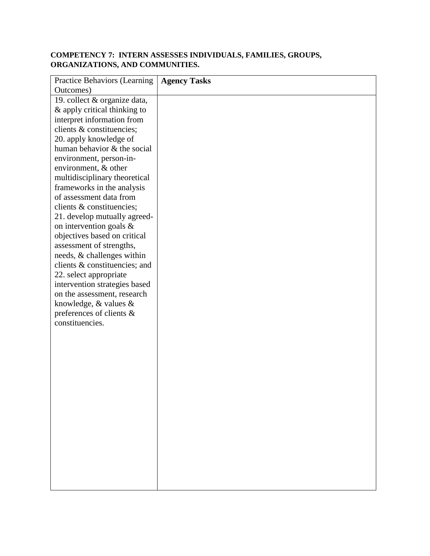# **COMPETENCY 7: INTERN ASSESSES INDIVIDUALS, FAMILIES, GROUPS, ORGANIZATIONS, AND COMMUNITIES.**

| <b>Practice Behaviors (Learning</b>                     | <b>Agency Tasks</b> |
|---------------------------------------------------------|---------------------|
| Outcomes)                                               |                     |
| 19. collect & organize data,                            |                     |
| & apply critical thinking to                            |                     |
| interpret information from                              |                     |
| clients & constituencies;                               |                     |
| 20. apply knowledge of                                  |                     |
| human behavior & the social                             |                     |
| environment, person-in-                                 |                     |
| environment, & other                                    |                     |
| multidisciplinary theoretical                           |                     |
| frameworks in the analysis                              |                     |
| of assessment data from                                 |                     |
| clients & constituencies;                               |                     |
| 21. develop mutually agreed-<br>on intervention goals & |                     |
| objectives based on critical                            |                     |
| assessment of strengths,                                |                     |
| needs, & challenges within                              |                     |
| clients & constituencies; and                           |                     |
| 22. select appropriate                                  |                     |
| intervention strategies based                           |                     |
| on the assessment, research                             |                     |
| knowledge, $&$ values $&$                               |                     |
| preferences of clients &                                |                     |
| constituencies.                                         |                     |
|                                                         |                     |
|                                                         |                     |
|                                                         |                     |
|                                                         |                     |
|                                                         |                     |
|                                                         |                     |
|                                                         |                     |
|                                                         |                     |
|                                                         |                     |
|                                                         |                     |
|                                                         |                     |
|                                                         |                     |
|                                                         |                     |
|                                                         |                     |
|                                                         |                     |
|                                                         |                     |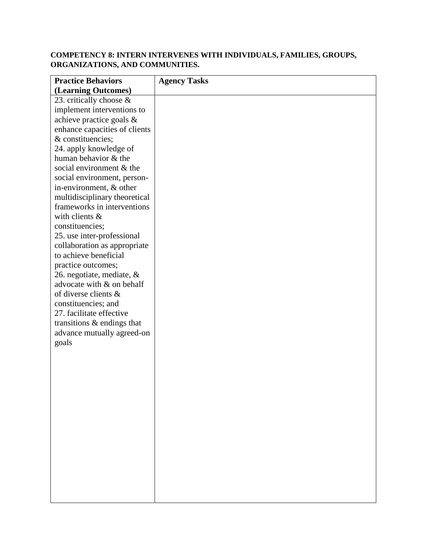## **COMPETENCY 8: INTERN INTERVENES WITH INDIVIDUALS, FAMILIES, GROUPS, ORGANIZATIONS, AND COMMUNITIES.**

| <b>Practice Behaviors</b>     | <b>Agency Tasks</b> |
|-------------------------------|---------------------|
| (Learning Outcomes)           |                     |
| 23. critically choose $\&$    |                     |
| implement interventions to    |                     |
| achieve practice goals &      |                     |
| enhance capacities of clients |                     |
| & constituencies;             |                     |
| 24. apply knowledge of        |                     |
| human behavior & the          |                     |
| social environment & the      |                     |
| social environment, person-   |                     |
| in-environment, & other       |                     |
| multidisciplinary theoretical |                     |
| frameworks in interventions   |                     |
| with clients $\&$             |                     |
| constituencies;               |                     |
| 25. use inter-professional    |                     |
| collaboration as appropriate  |                     |
| to achieve beneficial         |                     |
| practice outcomes;            |                     |
| 26. negotiate, mediate, &     |                     |
| advocate with & on behalf     |                     |
| of diverse clients &          |                     |
| constituencies; and           |                     |
| 27. facilitate effective      |                     |
| transitions $\&$ endings that |                     |
| advance mutually agreed-on    |                     |
| goals                         |                     |
|                               |                     |
|                               |                     |
|                               |                     |
|                               |                     |
|                               |                     |
|                               |                     |
|                               |                     |
|                               |                     |
|                               |                     |
|                               |                     |
|                               |                     |
|                               |                     |
|                               |                     |
|                               |                     |
|                               |                     |
|                               |                     |